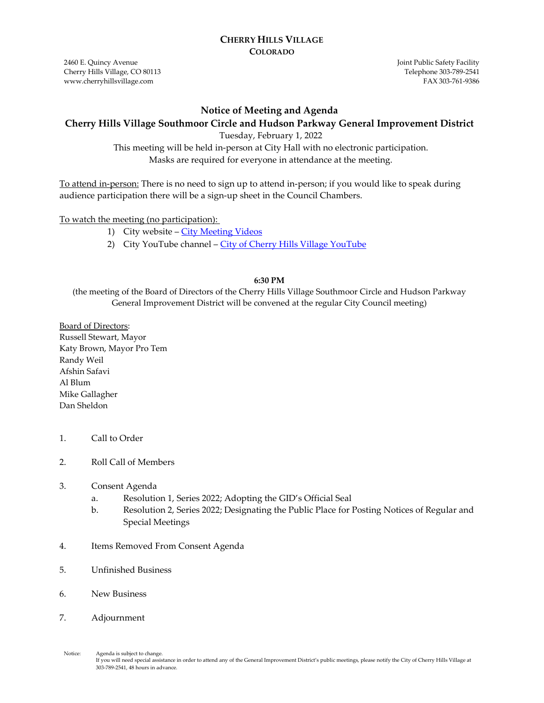#### **CHERRY HILLS VILLAGE COLORADO**

2460 E. Quincy Avenue Cherry Hills Village, CO 80113 www.cherryhillsvillage.com

Joint Public Safety Facility Telephone 303‐789‐2541 FAX 303‐761‐9386

#### **Notice of Meeting and Agenda**

### **Cherry Hills Village Southmoor Circle and Hudson Parkway General Improvement District**

Tuesday, February 1, 2022

This meeting will be held in-person at City Hall with no electronic participation. Masks are required for everyone in attendance at the meeting.

To attend in-person: There is no need to sign up to attend in-person; if you would like to speak during audience participation there will be a sign-up sheet in the Council Chambers.

To watch the meeting (no participation):

- 1) City website [City Meeting Videos](http://www.cherryhillsvillage.com/501/Council-Videos-Agendas-Packets-Minutes)
- 2) City YouTube channel [City of Cherry Hills Village YouTube](https://www.youtube.com/channel/UCHY4MgJ1gekrqDW949gW7Gw)

#### **6:30 PM**

(the meeting of the Board of Directors of the Cherry Hills Village Southmoor Circle and Hudson Parkway General Improvement District will be convened at the regular City Council meeting)

Board of Directors: Russell Stewart, Mayor Katy Brown, Mayor Pro Tem Randy Weil Afshin Safavi Al Blum Mike Gallagher Dan Sheldon

- 1. Call to Order
- 2. Roll Call of Members
- 3. Consent Agenda
	- a. Resolution 1, Series 2022; Adopting the GID's Official Seal
	- b. Resolution 2, Series 2022; Designating the Public Place for Posting Notices of Regular and Special Meetings
- 4. Items Removed From Consent Agenda
- 5. Unfinished Business
- 6. New Business
- 7. Adjournment

Notice: Agenda is subject to change.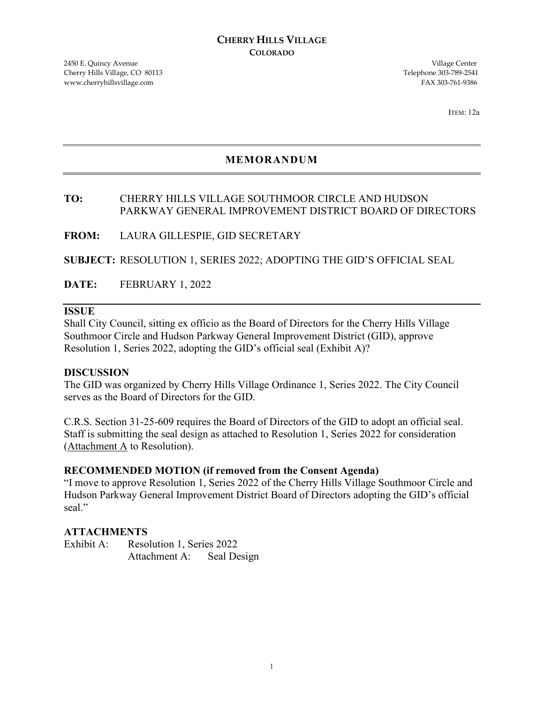2450 E. Quincy Avenue Village Center Cherry Hills Village, CO 80113 Telephone 303-789-2541 www.cherryhillsvillage.com FAX 303-761-9386

ITEM: 12a

# **MEMORANDUM**

# **TO:** CHERRY HILLS VILLAGE SOUTHMOOR CIRCLE AND HUDSON PARKWAY GENERAL IMPROVEMENT DISTRICT BOARD OF DIRECTORS

**FROM:** LAURA GILLESPIE, GID SECRETARY

**SUBJECT:** RESOLUTION 1, SERIES 2022; ADOPTING THE GID'S OFFICIAL SEAL

**DATE:** FEBRUARY 1, 2022

#### **ISSUE**

Shall City Council, sitting ex officio as the Board of Directors for the Cherry Hills Village Southmoor Circle and Hudson Parkway General Improvement District (GID), approve Resolution 1, Series 2022, adopting the GID's official seal (Exhibit A)?

#### **DISCUSSION**

The GID was organized by Cherry Hills Village Ordinance 1, Series 2022. The City Council serves as the Board of Directors for the GID.

C.R.S. Section 31-25-609 requires the Board of Directors of the GID to adopt an official seal. Staff is submitting the seal design as attached to Resolution 1, Series 2022 for consideration (Attachment A to Resolution).

#### **RECOMMENDED MOTION (if removed from the Consent Agenda)**

"I move to approve Resolution 1, Series 2022 of the Cherry Hills Village Southmoor Circle and Hudson Parkway General Improvement District Board of Directors adopting the GID's official seal."

#### **ATTACHMENTS**

| Exhibit A: | Resolution 1, Series 2022 |             |
|------------|---------------------------|-------------|
|            | Attachment A:             | Seal Design |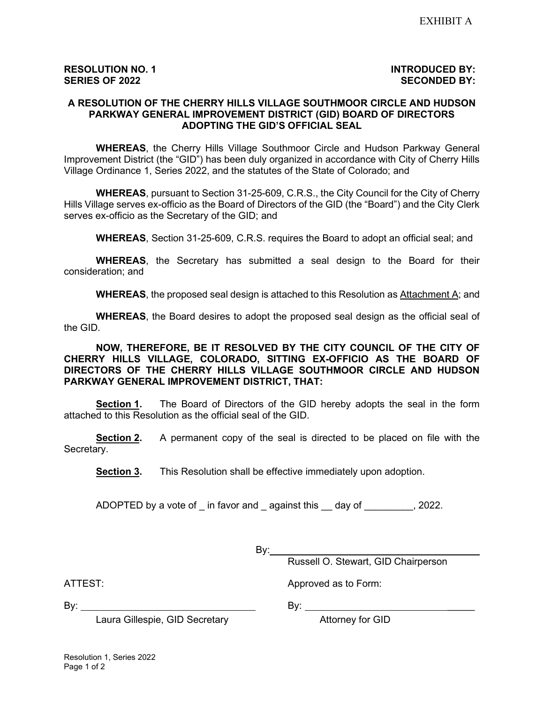# **RESOLUTION NO. 1 INTRODUCED BY:**

#### **A RESOLUTION OF THE CHERRY HILLS VILLAGE SOUTHMOOR CIRCLE AND HUDSON PARKWAY GENERAL IMPROVEMENT DISTRICT (GID) BOARD OF DIRECTORS ADOPTING THE GID'S OFFICIAL SEAL**

**WHEREAS**, the Cherry Hills Village Southmoor Circle and Hudson Parkway General Improvement District (the "GID") has been duly organized in accordance with City of Cherry Hills Village Ordinance 1, Series 2022, and the statutes of the State of Colorado; and

**WHEREAS**, pursuant to Section 31-25-609, C.R.S., the City Council for the City of Cherry Hills Village serves ex-officio as the Board of Directors of the GID (the "Board") and the City Clerk serves ex-officio as the Secretary of the GID; and

**WHEREAS**, Section 31-25-609, C.R.S. requires the Board to adopt an official seal; and

**WHEREAS**, the Secretary has submitted a seal design to the Board for their consideration; and

**WHEREAS**, the proposed seal design is attached to this Resolution as Attachment A; and

**WHEREAS**, the Board desires to adopt the proposed seal design as the official seal of the GID.

**NOW, THEREFORE, BE IT RESOLVED BY THE CITY COUNCIL OF THE CITY OF CHERRY HILLS VILLAGE, COLORADO, SITTING EX-OFFICIO AS THE BOARD OF DIRECTORS OF THE CHERRY HILLS VILLAGE SOUTHMOOR CIRCLE AND HUDSON PARKWAY GENERAL IMPROVEMENT DISTRICT, THAT:**

**Section 1.** The Board of Directors of the GID hereby adopts the seal in the form attached to this Resolution as the official seal of the GID.

**Section 2.** A permanent copy of the seal is directed to be placed on file with the Secretary.

**Section 3.** This Resolution shall be effective immediately upon adoption.

ADOPTED by a vote of in favor and against this day of 3022.

 $By:$ 

Russell O. Stewart, GID Chairperson

ATTEST: And Approved as to Form:

By: By: \_\_\_\_\_

Laura Gillespie, GID Secretary **Attorney for GID**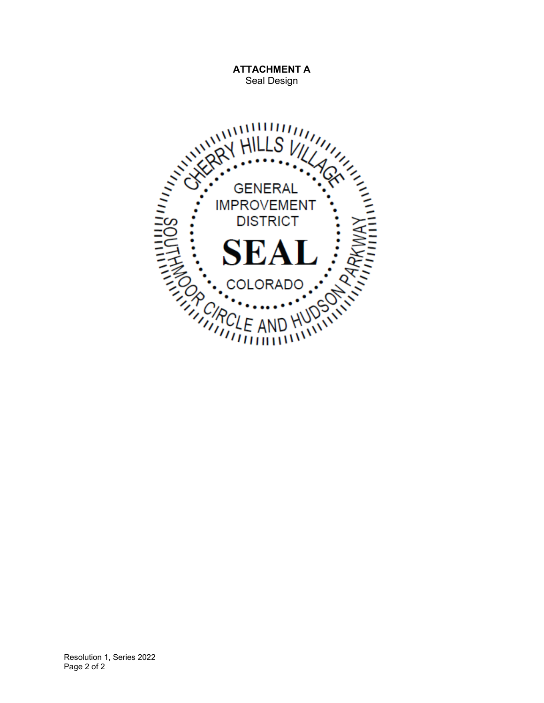

**ATTACHMENT A** Seal Design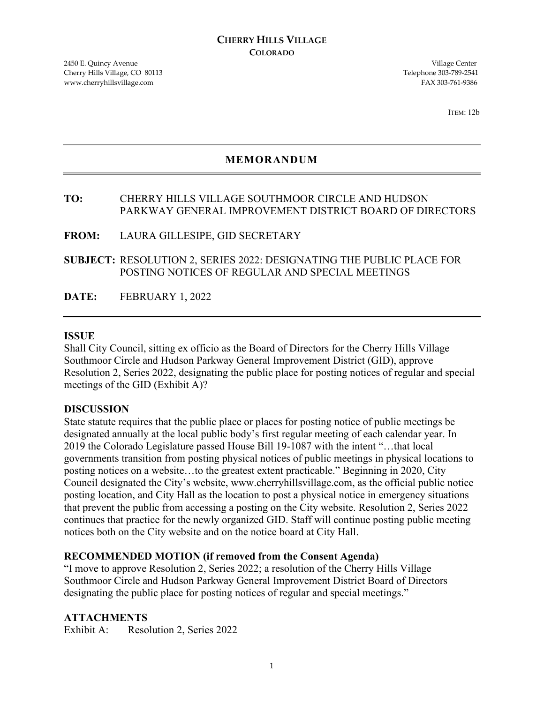2450 E. Quincy Avenue Village Center Cherry Hills Village, CO 80113 Telephone 303-789-2541 www.cherryhillsvillage.com FAX 303-761-9386

ITEM: 12b

# **MEMORANDUM**

# **TO:** CHERRY HILLS VILLAGE SOUTHMOOR CIRCLE AND HUDSON PARKWAY GENERAL IMPROVEMENT DISTRICT BOARD OF DIRECTORS

**FROM:** LAURA GILLESIPE, GID SECRETARY

**SUBJECT:** RESOLUTION 2, SERIES 2022: DESIGNATING THE PUBLIC PLACE FOR POSTING NOTICES OF REGULAR AND SPECIAL MEETINGS

**DATE:** FEBRUARY 1, 2022

#### **ISSUE**

Shall City Council, sitting ex officio as the Board of Directors for the Cherry Hills Village Southmoor Circle and Hudson Parkway General Improvement District (GID), approve Resolution 2, Series 2022, designating the public place for posting notices of regular and special meetings of the GID (Exhibit A)?

#### **DISCUSSION**

State statute requires that the public place or places for posting notice of public meetings be designated annually at the local public body's first regular meeting of each calendar year. In 2019 the Colorado Legislature passed House Bill 19-1087 with the intent "…that local governments transition from posting physical notices of public meetings in physical locations to posting notices on a website…to the greatest extent practicable." Beginning in 2020, City Council designated the City's website, www.cherryhillsvillage.com, as the official public notice posting location, and City Hall as the location to post a physical notice in emergency situations that prevent the public from accessing a posting on the City website. Resolution 2, Series 2022 continues that practice for the newly organized GID. Staff will continue posting public meeting notices both on the City website and on the notice board at City Hall.

## **RECOMMENDED MOTION (if removed from the Consent Agenda)**

"I move to approve Resolution 2, Series 2022; a resolution of the Cherry Hills Village Southmoor Circle and Hudson Parkway General Improvement District Board of Directors designating the public place for posting notices of regular and special meetings."

#### **ATTACHMENTS**

Exhibit A: Resolution 2, Series 2022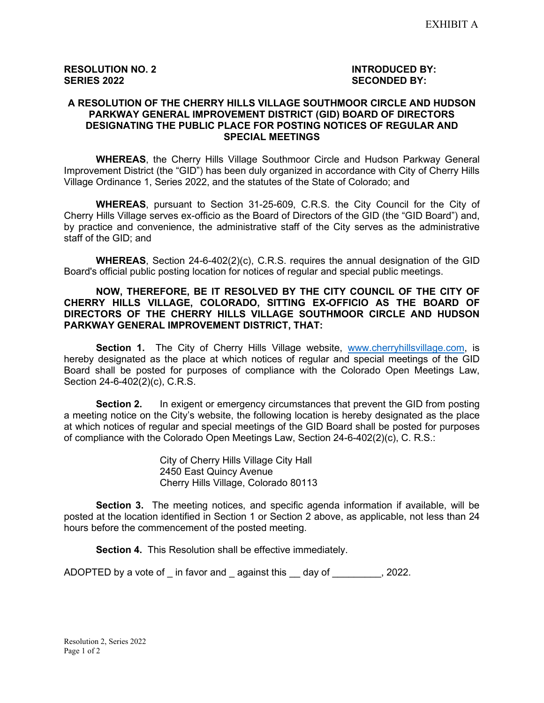### **A RESOLUTION OF THE CHERRY HILLS VILLAGE SOUTHMOOR CIRCLE AND HUDSON PARKWAY GENERAL IMPROVEMENT DISTRICT (GID) BOARD OF DIRECTORS DESIGNATING THE PUBLIC PLACE FOR POSTING NOTICES OF REGULAR AND SPECIAL MEETINGS**

**WHEREAS**, the Cherry Hills Village Southmoor Circle and Hudson Parkway General Improvement District (the "GID") has been duly organized in accordance with City of Cherry Hills Village Ordinance 1, Series 2022, and the statutes of the State of Colorado; and

**WHEREAS**, pursuant to Section 31-25-609, C.R.S. the City Council for the City of Cherry Hills Village serves ex-officio as the Board of Directors of the GID (the "GID Board") and, by practice and convenience, the administrative staff of the City serves as the administrative staff of the GID; and

**WHEREAS**, Section 24-6-402(2)(c), C.R.S. requires the annual designation of the GID Board's official public posting location for notices of regular and special public meetings.

#### **NOW, THEREFORE, BE IT RESOLVED BY THE CITY COUNCIL OF THE CITY OF CHERRY HILLS VILLAGE, COLORADO, SITTING EX-OFFICIO AS THE BOARD OF DIRECTORS OF THE CHERRY HILLS VILLAGE SOUTHMOOR CIRCLE AND HUDSON PARKWAY GENERAL IMPROVEMENT DISTRICT, THAT:**

**Section 1.** The City of Cherry Hills Village website, [www.cherryhillsvillage.com,](http://www.cherryhillsvillage.com/) is hereby designated as the place at which notices of regular and special meetings of the GID Board shall be posted for purposes of compliance with the Colorado Open Meetings Law, Section 24-6-402(2)(c), C.R.S.

**Section 2.** In exigent or emergency circumstances that prevent the GID from posting a meeting notice on the City's website, the following location is hereby designated as the place at which notices of regular and special meetings of the GID Board shall be posted for purposes of compliance with the Colorado Open Meetings Law, Section 24-6-402(2)(c), C. R.S.:

> City of Cherry Hills Village City Hall 2450 East Quincy Avenue Cherry Hills Village, Colorado 80113

**Section 3.** The meeting notices, and specific agenda information if available, will be posted at the location identified in Section 1 or Section 2 above, as applicable, not less than 24 hours before the commencement of the posted meeting.

**Section 4.** This Resolution shall be effective immediately.

ADOPTED by a vote of in favor and against this day of Table 2022.